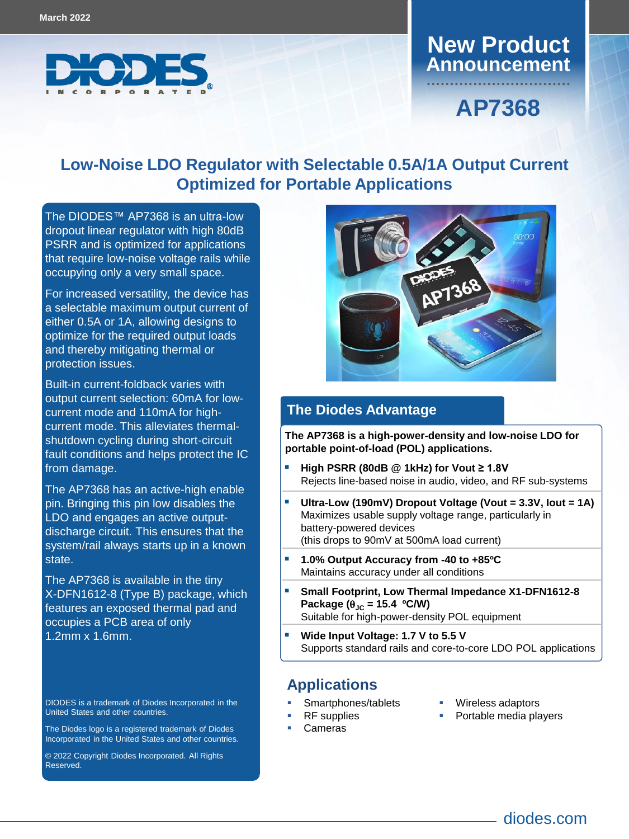

### **Announcement New Product**

# **AP7368**

### **Low-Noise LDO Regulator with Selectable 0.5A/1A Output Current Optimized for Portable Applications**

The DIODES™ [AP7368 i](https://www.diodes.com/part/view/AP7387)s an ultra-low dropout linear regulator with high 80dB PSRR and is optimized for applications that require low-noise voltage rails while occupying only a very small space.

For increased versatility, the device has a selectable maximum output current of either 0.5A or 1A, allowing designs to optimize for the required output loads and thereby mitigating thermal or protection issues.

Built-in current-foldback varies with output current selection: 60mA for lowcurrent mode and 110mA for highcurrent mode. This alleviates thermalshutdown cycling during short-circuit fault conditions and helps protect the IC from damage.

The AP7368 has an active-high enable pin. Bringing this pin low disables the LDO and engages an active outputdischarge circuit. This ensures that the system/rail always starts up in a known state.

The AP7368 is available in the tiny X-DFN1612-8 (Type B) package, which features an exposed thermal pad and occupies a PCB area of only 1.2mm x 1.6mm.

DIODES is a trademark of Diodes Incorporated in the United States and other countries.

The Diodes logo is a registered trademark of Diodes Incorporated in the United States and other countries.

© 2022 Copyright Diodes Incorporated. All Rights Reserved.



#### **The Diodes Advantage**

**The AP7368 is a high-power-density and low-noise LDO for portable point-of-load (POL) applications.**

- **High PSRR (80dB @ 1kHz) for Vout ≥ 1.8V** Rejects line-based noise in audio, video, and RF sub-systems
- **Ultra-Low (190mV) Dropout Voltage (Vout = 3.3V, Iout = 1A)** Maximizes usable supply voltage range, particularly in battery-powered devices (this drops to 90mV at 500mA load current)
- **1.0% Output Accuracy from -40 to +85ºC** Maintains accuracy under all conditions
- **Small Footprint, Low Thermal Impedance X1-DFN1612-8**  Package  $(\theta_{\text{JC}} = 15.4 \text{ °C/W})$ Suitable for high-power-density POL equipment
- **Wide Input Voltage: 1.7 V to 5.5 V** Supports standard rails and core-to-core LDO POL applications

#### **Applications**

- Smartphones/tablets RF supplies
- Wireless adaptors
- Portable media players

Cameras

 $\overline{\phantom{a}}$  and  $\overline{\phantom{a}}$ diodes.com